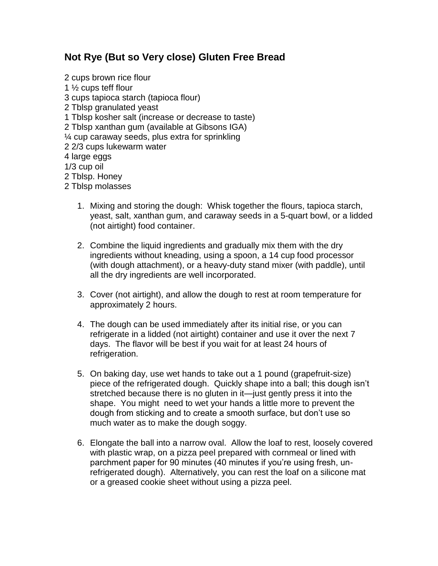## **Not Rye (But so Very close) Gluten Free Bread**

- 2 cups brown rice flour 1 ½ cups teff flour 3 cups tapioca starch (tapioca flour) 2 Tblsp granulated yeast 1 Tblsp kosher salt (increase or decrease to taste) 2 Tblsp xanthan gum (available at Gibsons IGA) ¼ cup caraway seeds, plus extra for sprinkling 2 2/3 cups lukewarm water 4 large eggs 1/3 cup oil 2 Tblsp. Honey 2 Tblsp molasses
	- 1. Mixing and storing the dough: Whisk together the flours, tapioca starch, yeast, salt, xanthan gum, and caraway seeds in a 5-quart bowl, or a lidded (not airtight) food container.
	- 2. Combine the liquid ingredients and gradually mix them with the dry ingredients without kneading, using a spoon, a 14 cup food processor (with dough attachment), or a heavy-duty stand mixer (with paddle), until all the dry ingredients are well incorporated.
	- 3. Cover (not airtight), and allow the dough to rest at room temperature for approximately 2 hours.
	- 4. The dough can be used immediately after its initial rise, or you can refrigerate in a lidded (not airtight) container and use it over the next 7 days. The flavor will be best if you wait for at least 24 hours of refrigeration.
	- 5. On baking day, use wet hands to take out a 1 pound (grapefruit-size) piece of the refrigerated dough. Quickly shape into a ball; this dough isn't stretched because there is no gluten in it—just gently press it into the shape. You might need to wet your hands a little more to prevent the dough from sticking and to create a smooth surface, but don't use so much water as to make the dough soggy.
	- 6. Elongate the ball into a narrow oval. Allow the loaf to rest, loosely covered with plastic wrap, on a pizza peel prepared with cornmeal or lined with parchment paper for 90 minutes (40 minutes if you're using fresh, unrefrigerated dough). Alternatively, you can rest the loaf on a silicone mat or a greased cookie sheet without using a pizza peel.